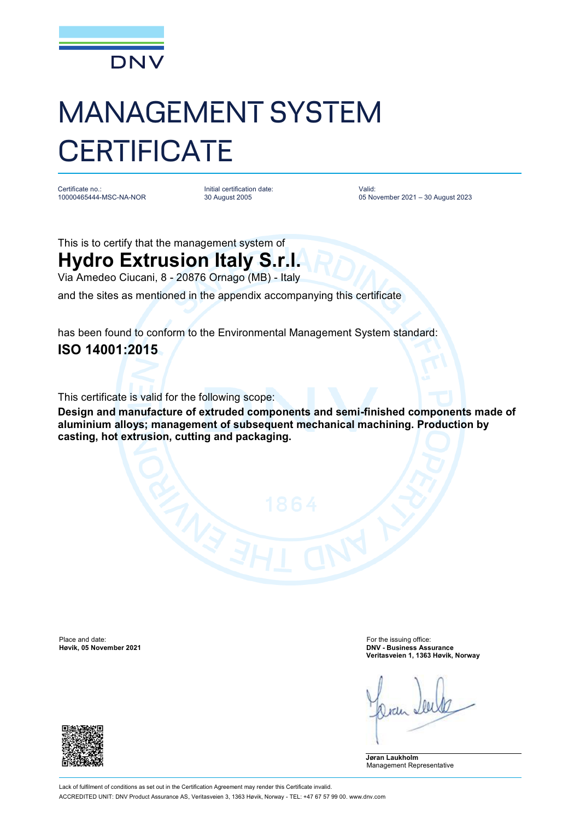

## MANAGEMENT SYSTEM **CERTIFICATE**

Certificate no.: 10000465444-MSC-NA-NOR Initial certification date: 30 August 2005

Valid: 05 November 2021 – 30 August 2023

This is to certify that the management system of

## **Hydro Extrusion Italy S.r.l.**

Via Amedeo Ciucani, 8 - 20876 Ornago (MB) - Italy

and the sites as mentioned in the appendix accompanying this certificate

has been found to conform to the Environmental Management System standard: **ISO 14001:2015**

This certificate is valid for the following scope:

**Design and manufacture of extruded components and semi-finished components made of aluminium alloys; management of subsequent mechanical machining. Production by casting, hot extrusion, cutting and packaging.**

Place and date: For the issuing office:<br> **Place and date:** For the issuing office:<br> **Place and date:** For the issuing office:<br> **Place and date:** For the issuing office:

**Høvik, 05 November 2021 DNV - Business Assurance Veritasveien 1, 1363 Høvik, Norway**

**Jøran Laukholm** Management Representative

Lack of fulfilment of conditions as set out in the Certification Agreement may render this Certificate invalid. ACCREDITED UNIT: DNV Product Assurance AS, Veritasveien 3, 1363 Høvik, Norway - TEL: +47 67 57 99 00. [www.dnv.com](http://www.dnv.com)